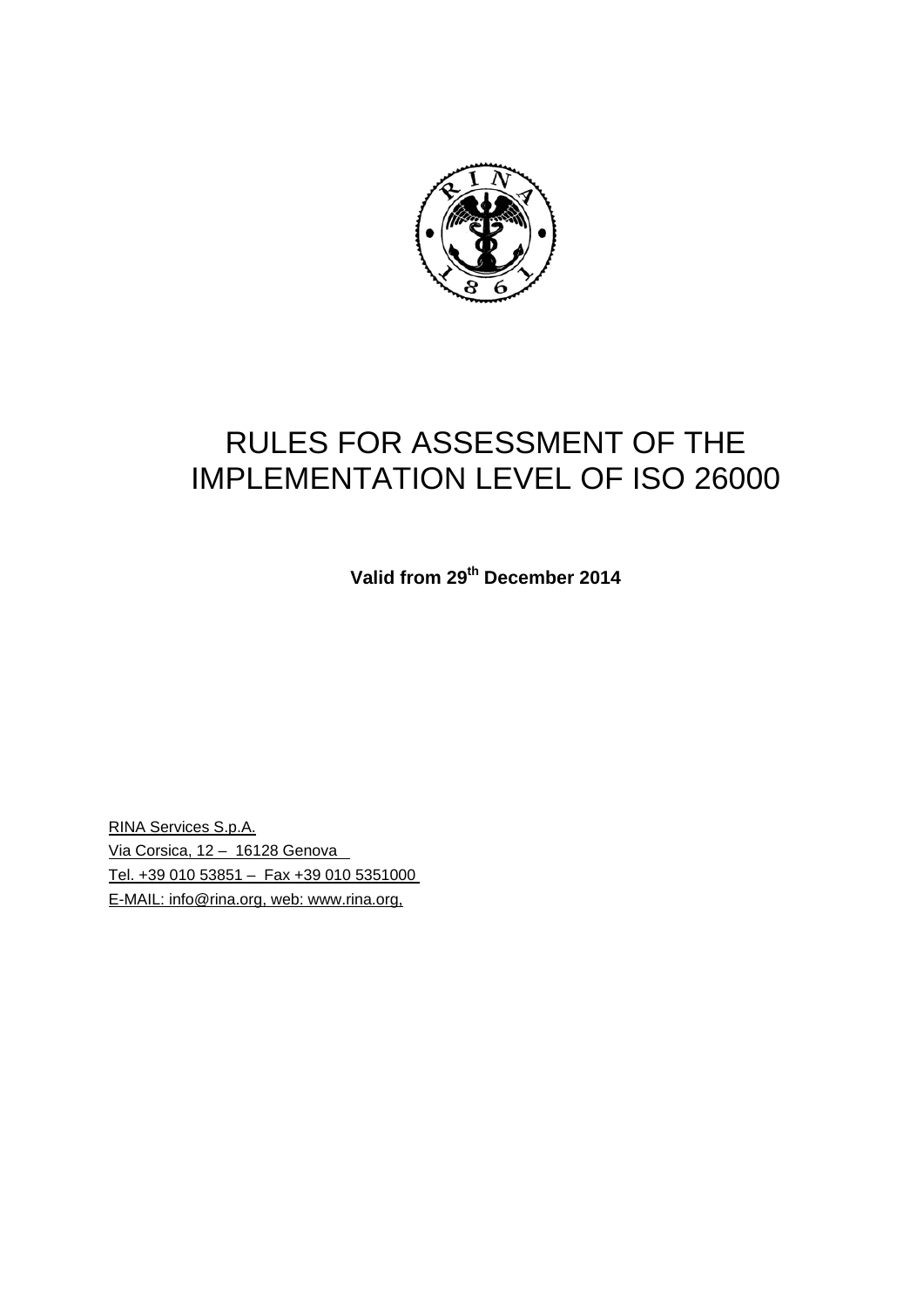

# RULES FOR ASSESSMENT OF THE IMPLEMENTATION LEVEL OF ISO 26000

**Valid from 29th December 2014** 

RINA Services S.p.A. Via Corsica, 12 – 16128 Genova Tel. +39 010 53851 – Fax +39 010 5351000 E-MAIL: info@rina.org, web: www.rina.org,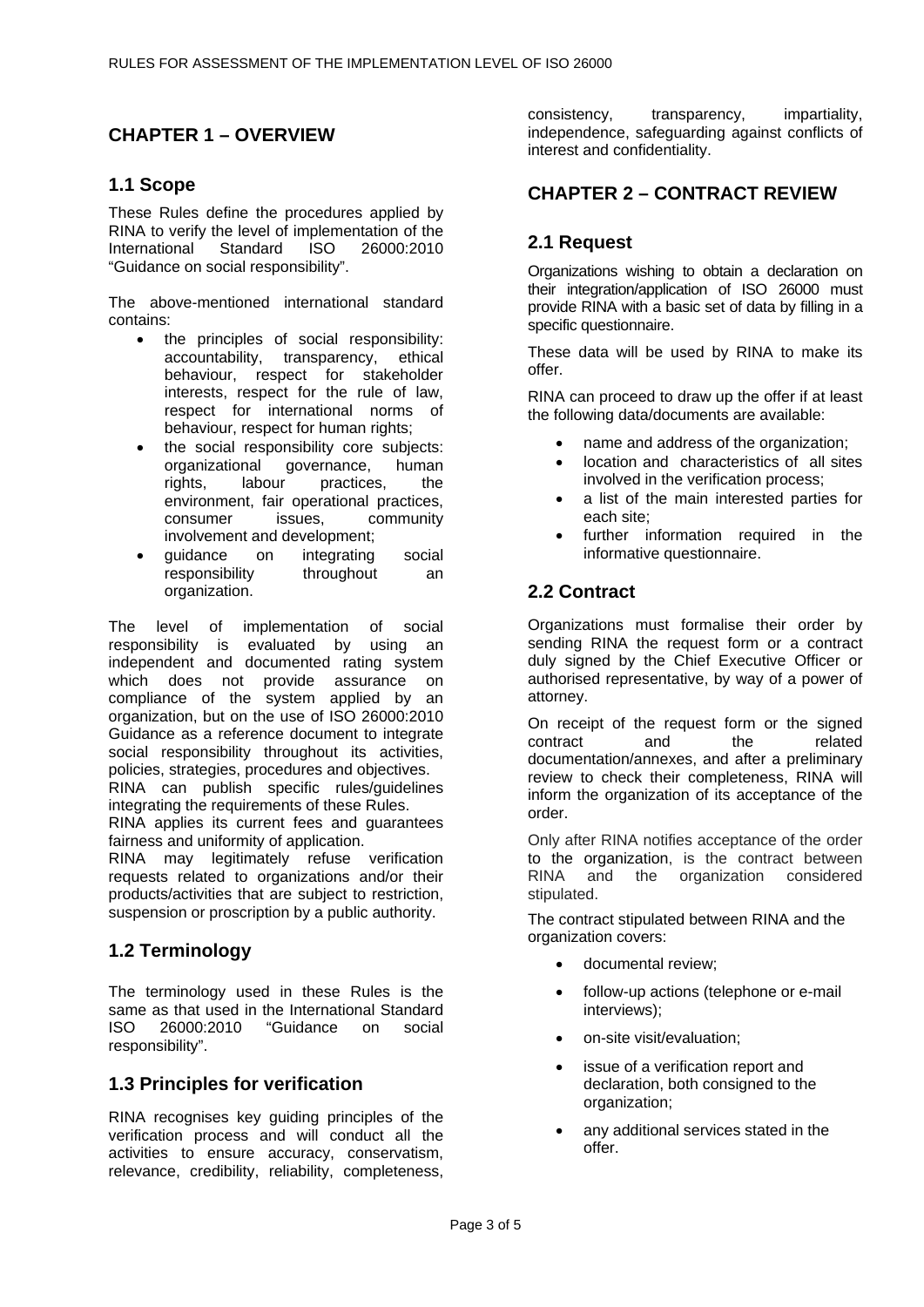# **CHAPTER 1 – OVERVIEW**

# **1.1 Scope**

These Rules define the procedures applied by RINA to verify the level of implementation of the International Standard ISO 26000:2010 "Guidance on social responsibility".

The above-mentioned international standard contains:

- the principles of social responsibility: accountability, transparency, ethical behaviour, respect for stakeholder interests, respect for the rule of law, respect for international norms of behaviour, respect for human rights;
- the social responsibility core subjects: organizational governance, human rights, labour practices, the environment, fair operational practices, consumer issues, community involvement and development;
- guidance on integrating social responsibility throughout an organization.

The level of implementation of social responsibility is evaluated by using an independent and documented rating system which does not provide assurance on compliance of the system applied by an organization, but on the use of ISO 26000:2010 Guidance as a reference document to integrate social responsibility throughout its activities, policies, strategies, procedures and objectives.

RINA can publish specific rules/guidelines integrating the requirements of these Rules.

RINA applies its current fees and guarantees fairness and uniformity of application.

RINA may legitimately refuse verification requests related to organizations and/or their products/activities that are subject to restriction, suspension or proscription by a public authority.

# **1.2 Terminology**

The terminology used in these Rules is the same as that used in the International Standard ISO 26000:2010 "Guidance on social responsibility".

# **1.3 Principles for verification**

RINA recognises key guiding principles of the verification process and will conduct all the activities to ensure accuracy, conservatism, relevance, credibility, reliability, completeness,

consistency, transparency, impartiality, independence, safeguarding against conflicts of interest and confidentiality.

# **CHAPTER 2 – CONTRACT REVIEW**

# **2.1 Request**

Organizations wishing to obtain a declaration on their integration/application of ISO 26000 must provide RINA with a basic set of data by filling in a specific questionnaire.

These data will be used by RINA to make its offer.

RINA can proceed to draw up the offer if at least the following data/documents are available:

- name and address of the organization;
- location and characteristics of all sites involved in the verification process;
- a list of the main interested parties for each site;
- further information required in the informative questionnaire.

#### **2.2 Contract**

Organizations must formalise their order by sending RINA the request form or a contract duly signed by the Chief Executive Officer or authorised representative, by way of a power of attorney.

On receipt of the request form or the signed contract and the related documentation/annexes, and after a preliminary review to check their completeness, RINA will inform the organization of its acceptance of the order.

Only after RINA notifies acceptance of the order to the organization, is the contract between RINA and the organization considered stipulated.

The contract stipulated between RINA and the organization covers:

- documental review;
- follow-up actions (telephone or e-mail interviews);
- on-site visit/evaluation;
- issue of a verification report and declaration, both consigned to the organization;
- any additional services stated in the offer.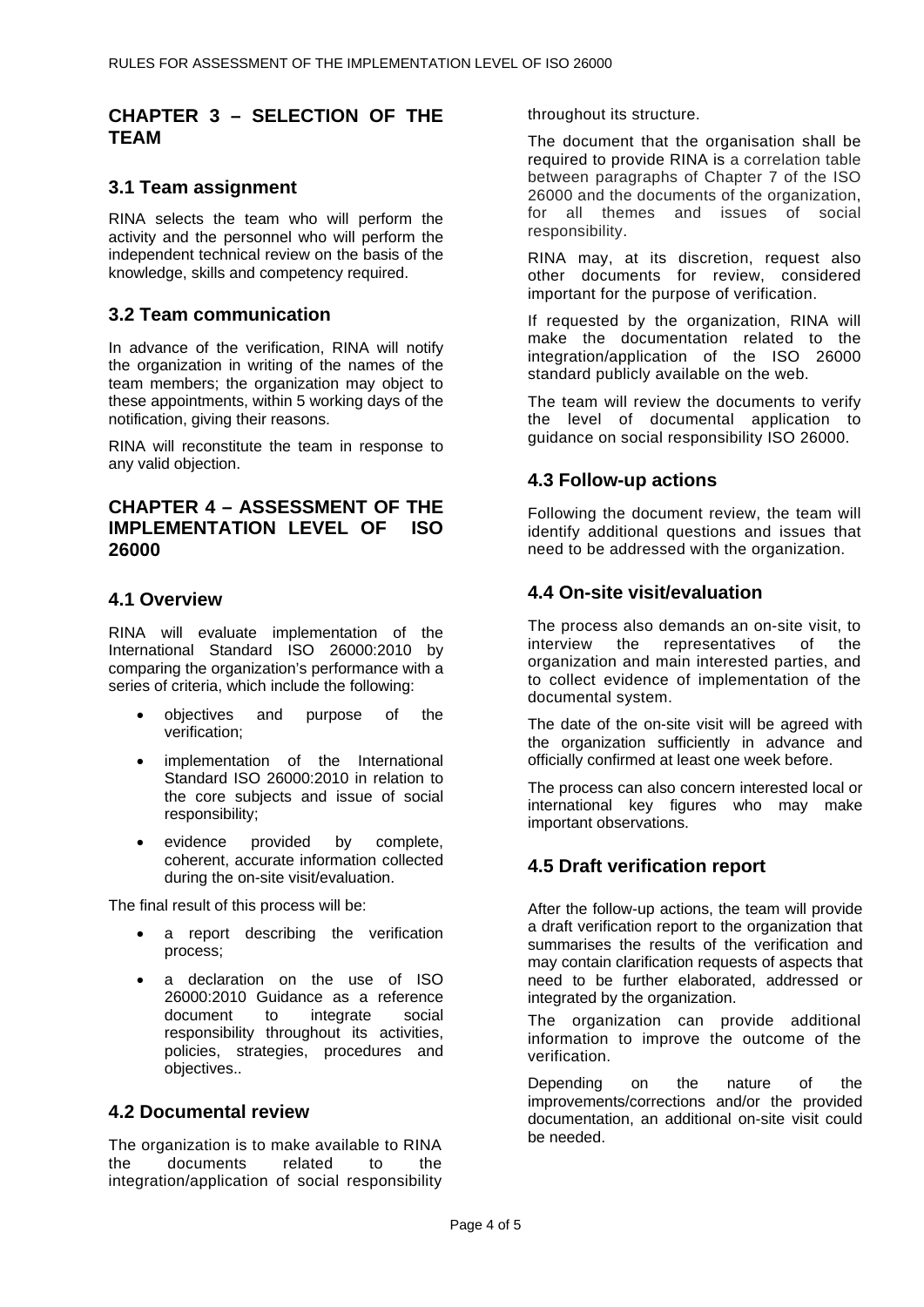# **CHAPTER 3 – SELECTION OF THE TEAM**

# **3.1 Team assignment**

RINA selects the team who will perform the activity and the personnel who will perform the independent technical review on the basis of the knowledge, skills and competency required.

# **3.2 Team communication**

In advance of the verification, RINA will notify the organization in writing of the names of the team members; the organization may object to these appointments, within 5 working days of the notification, giving their reasons.

RINA will reconstitute the team in response to any valid objection.

# **CHAPTER 4 – ASSESSMENT OF THE IMPLEMENTATION LEVEL OF ISO 26000**

## **4.1 Overview**

RINA will evaluate implementation of the International Standard ISO 26000:2010 by comparing the organization's performance with a series of criteria, which include the following:

- objectives and purpose of the verification;
- implementation of the International Standard ISO 26000:2010 in relation to the core subjects and issue of social responsibility;
- evidence provided by complete, coherent, accurate information collected during the on-site visit/evaluation.

The final result of this process will be:

- a report describing the verification process;
- a declaration on the use of ISO 26000:2010 Guidance as a reference document to integrate social responsibility throughout its activities, policies, strategies, procedures and objectives..

#### **4.2 Documental review**

The organization is to make available to RINA the documents related to the integration/application of social responsibility throughout its structure.

The document that the organisation shall be required to provide RINA is a correlation table between paragraphs of Chapter 7 of the ISO 26000 and the documents of the organization, for all themes and issues of social responsibility.

RINA may, at its discretion, request also other documents for review, considered important for the purpose of verification.

If requested by the organization, RINA will make the documentation related to the integration/application of the ISO 26000 standard publicly available on the web.

The team will review the documents to verify the level of documental application to guidance on social responsibility ISO 26000.

# **4.3 Follow-up actions**

Following the document review, the team will identify additional questions and issues that need to be addressed with the organization.

## **4.4 On-site visit/evaluation**

The process also demands an on-site visit, to interview the representatives of the organization and main interested parties, and to collect evidence of implementation of the documental system.

The date of the on-site visit will be agreed with the organization sufficiently in advance and officially confirmed at least one week before.

The process can also concern interested local or international key figures who may make important observations.

# **4.5 Draft verification report**

After the follow-up actions, the team will provide a draft verification report to the organization that summarises the results of the verification and may contain clarification requests of aspects that need to be further elaborated, addressed or integrated by the organization.

The organization can provide additional information to improve the outcome of the verification.

Depending on the nature of the improvements/corrections and/or the provided documentation, an additional on-site visit could be needed.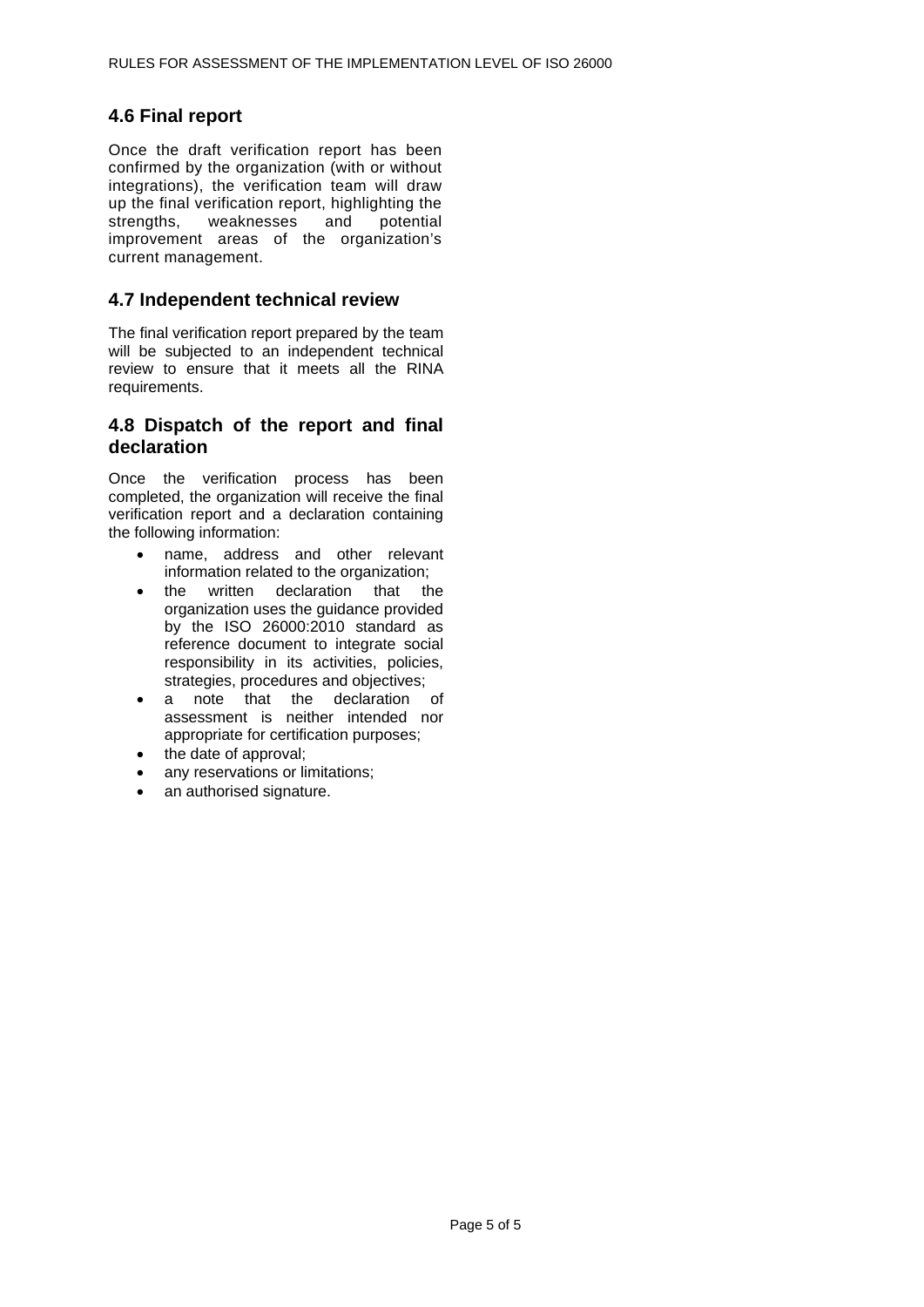# **4.6 Final report**

Once the draft verification report has been confirmed by the organization (with or without integrations), the verification team will draw up the final verification report, highlighting the strengths, weaknesses and potential improvement areas of the organization's current management.

#### **4.7 Independent technical review**

The final verification report prepared by the team will be subjected to an independent technical review to ensure that it meets all the RINA requirements.

## **4.8 Dispatch of the report and final declaration**

Once the verification process has been completed, the organization will receive the final verification report and a declaration containing the following information:

- name, address and other relevant information related to the organization;
- the written declaration that the organization uses the guidance provided by the ISO 26000:2010 standard as reference document to integrate social responsibility in its activities, policies, strategies, procedures and objectives;
- a note that the declaration of assessment is neither intended nor appropriate for certification purposes;
- the date of approval;
- any reservations or limitations;
- an authorised signature.